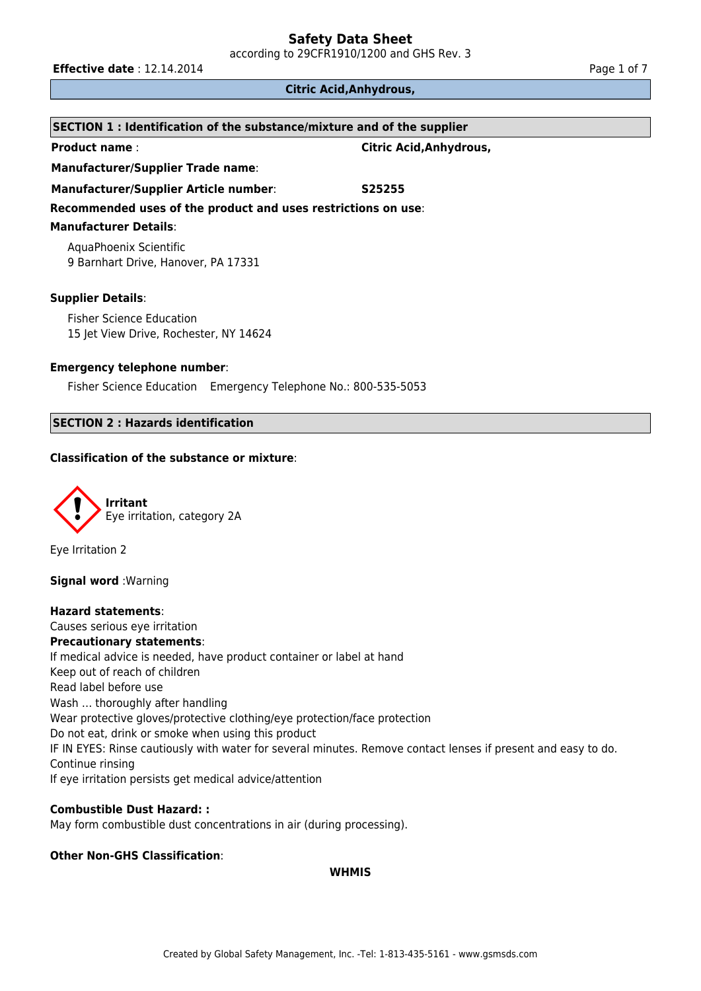according to 29CFR1910/1200 and GHS Rev. 3

**Effective date** : 12.14.2014 **Page 1 of 7 Page 1 of 7** 

### **Citric Acid,Anhydrous,**

| SECTION 1 : Identification of the substance/mixture and of the supplier   |                         |  |  |  |
|---------------------------------------------------------------------------|-------------------------|--|--|--|
| <b>Product name:</b>                                                      | Citric Acid, Anhydrous, |  |  |  |
| <b>Manufacturer/Supplier Trade name:</b>                                  |                         |  |  |  |
| <b>Manufacturer/Supplier Article number:</b>                              | S <sub>25255</sub>      |  |  |  |
| Recommended uses of the product and uses restrictions on use:             |                         |  |  |  |
| <b>Manufacturer Details:</b>                                              |                         |  |  |  |
| AquaPhoenix Scientific<br>9 Barnhart Drive, Hanover, PA 17331             |                         |  |  |  |
| <b>Supplier Details:</b>                                                  |                         |  |  |  |
| <b>Fisher Science Education</b><br>15 Jet View Drive, Rochester, NY 14624 |                         |  |  |  |
| <b>Emergency telephone number:</b>                                        |                         |  |  |  |
| Fisher Science Education Emergency Telephone No.: 800-535-5053            |                         |  |  |  |

# **SECTION 2 : Hazards identification**

### **Classification of the substance or mixture**:



Eye Irritation 2

**Signal word** :Warning

**Hazard statements**: Causes serious eye irritation **Precautionary statements**: If medical advice is needed, have product container or label at hand Keep out of reach of children Read label before use Wash … thoroughly after handling Wear protective gloves/protective clothing/eye protection/face protection Do not eat, drink or smoke when using this product IF IN EYES: Rinse cautiously with water for several minutes. Remove contact lenses if present and easy to do. Continue rinsing If eye irritation persists get medical advice/attention

### **Combustible Dust Hazard: :**

May form combustible dust concentrations in air (during processing).

# **Other Non-GHS Classification**:

### **WHMIS**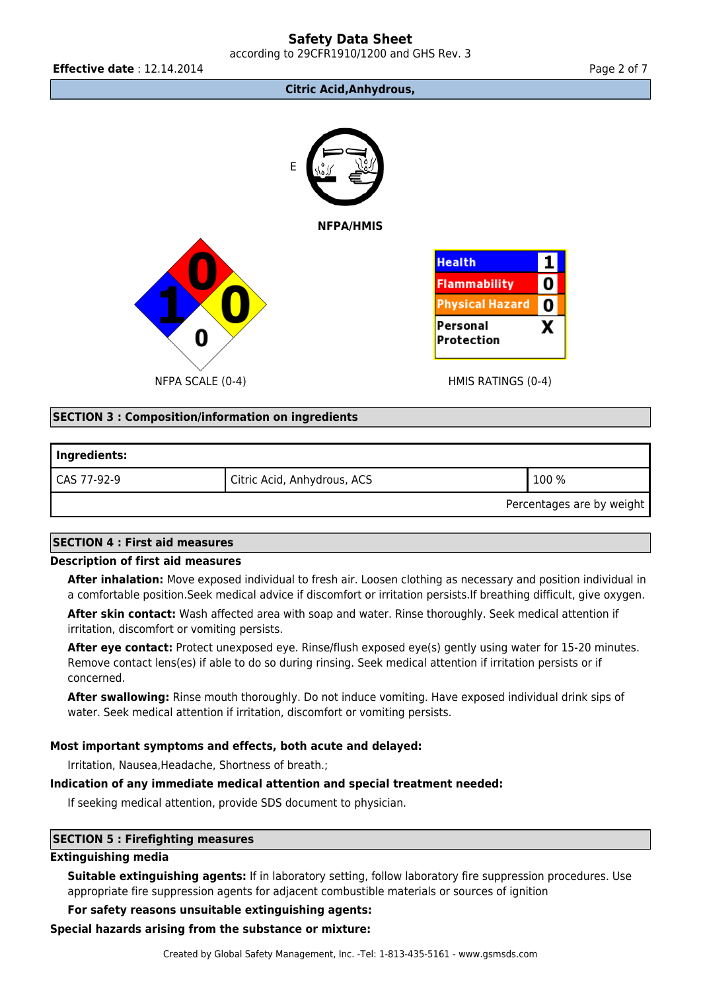according to 29CFR1910/1200 and GHS Rev. 3

**Effective date** : 12.14.2014 **Page 2 of 7 Page 2 of 7** 

### **Citric Acid,Anhydrous,**



### **SECTION 3 : Composition/information on ingredients**

| Ingredients: |                             |                           |
|--------------|-----------------------------|---------------------------|
| CAS 77-92-9  | Citric Acid, Anhydrous, ACS | 100 %                     |
|              |                             | Percentages are by weight |

### **SECTION 4 : First aid measures**

### **Description of first aid measures**

**After inhalation:** Move exposed individual to fresh air. Loosen clothing as necessary and position individual in a comfortable position.Seek medical advice if discomfort or irritation persists.If breathing difficult, give oxygen.

**After skin contact:** Wash affected area with soap and water. Rinse thoroughly. Seek medical attention if irritation, discomfort or vomiting persists.

**After eye contact:** Protect unexposed eye. Rinse/flush exposed eye(s) gently using water for 15-20 minutes. Remove contact lens(es) if able to do so during rinsing. Seek medical attention if irritation persists or if concerned.

**After swallowing:** Rinse mouth thoroughly. Do not induce vomiting. Have exposed individual drink sips of water. Seek medical attention if irritation, discomfort or vomiting persists.

### **Most important symptoms and effects, both acute and delayed:**

Irritation, Nausea,Headache, Shortness of breath.;

### **Indication of any immediate medical attention and special treatment needed:**

If seeking medical attention, provide SDS document to physician.

### **SECTION 5 : Firefighting measures**

### **Extinguishing media**

**Suitable extinguishing agents:** If in laboratory setting, follow laboratory fire suppression procedures. Use appropriate fire suppression agents for adjacent combustible materials or sources of ignition

### **For safety reasons unsuitable extinguishing agents:**

### **Special hazards arising from the substance or mixture:**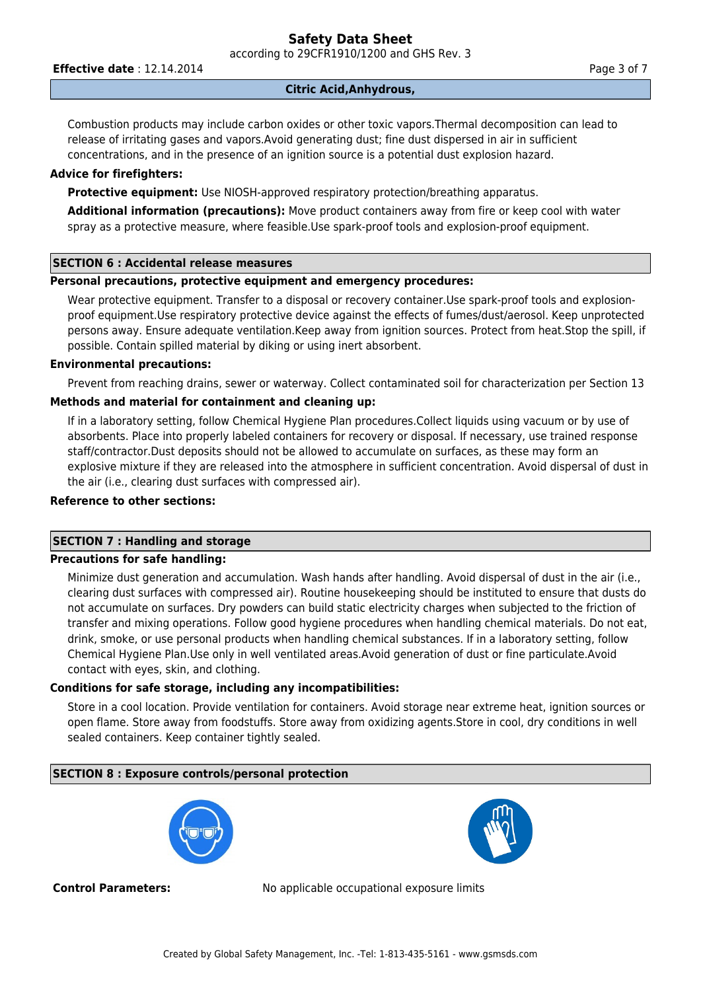according to 29CFR1910/1200 and GHS Rev. 3

**Effective date** : 12.14.2014 **Page 3 of 7 Page 3 of 7** 

# **Citric Acid,Anhydrous,**

Combustion products may include carbon oxides or other toxic vapors.Thermal decomposition can lead to release of irritating gases and vapors.Avoid generating dust; fine dust dispersed in air in sufficient concentrations, and in the presence of an ignition source is a potential dust explosion hazard.

### **Advice for firefighters:**

**Protective equipment:** Use NIOSH-approved respiratory protection/breathing apparatus.

**Additional information (precautions):** Move product containers away from fire or keep cool with water spray as a protective measure, where feasible.Use spark-proof tools and explosion-proof equipment.

### **SECTION 6 : Accidental release measures**

### **Personal precautions, protective equipment and emergency procedures:**

Wear protective equipment. Transfer to a disposal or recovery container.Use spark-proof tools and explosionproof equipment.Use respiratory protective device against the effects of fumes/dust/aerosol. Keep unprotected persons away. Ensure adequate ventilation.Keep away from ignition sources. Protect from heat.Stop the spill, if possible. Contain spilled material by diking or using inert absorbent.

### **Environmental precautions:**

Prevent from reaching drains, sewer or waterway. Collect contaminated soil for characterization per Section 13

# **Methods and material for containment and cleaning up:**

If in a laboratory setting, follow Chemical Hygiene Plan procedures.Collect liquids using vacuum or by use of absorbents. Place into properly labeled containers for recovery or disposal. If necessary, use trained response staff/contractor.Dust deposits should not be allowed to accumulate on surfaces, as these may form an explosive mixture if they are released into the atmosphere in sufficient concentration. Avoid dispersal of dust in the air (i.e., clearing dust surfaces with compressed air).

# **Reference to other sections:**

# **SECTION 7 : Handling and storage**

### **Precautions for safe handling:**

Minimize dust generation and accumulation. Wash hands after handling. Avoid dispersal of dust in the air (i.e., clearing dust surfaces with compressed air). Routine housekeeping should be instituted to ensure that dusts do not accumulate on surfaces. Dry powders can build static electricity charges when subjected to the friction of transfer and mixing operations. Follow good hygiene procedures when handling chemical materials. Do not eat, drink, smoke, or use personal products when handling chemical substances. If in a laboratory setting, follow Chemical Hygiene Plan.Use only in well ventilated areas.Avoid generation of dust or fine particulate.Avoid contact with eyes, skin, and clothing.

# **Conditions for safe storage, including any incompatibilities:**

Store in a cool location. Provide ventilation for containers. Avoid storage near extreme heat, ignition sources or open flame. Store away from foodstuffs. Store away from oxidizing agents.Store in cool, dry conditions in well sealed containers. Keep container tightly sealed.

### **SECTION 8 : Exposure controls/personal protection**





**Control Parameters:** No applicable occupational exposure limits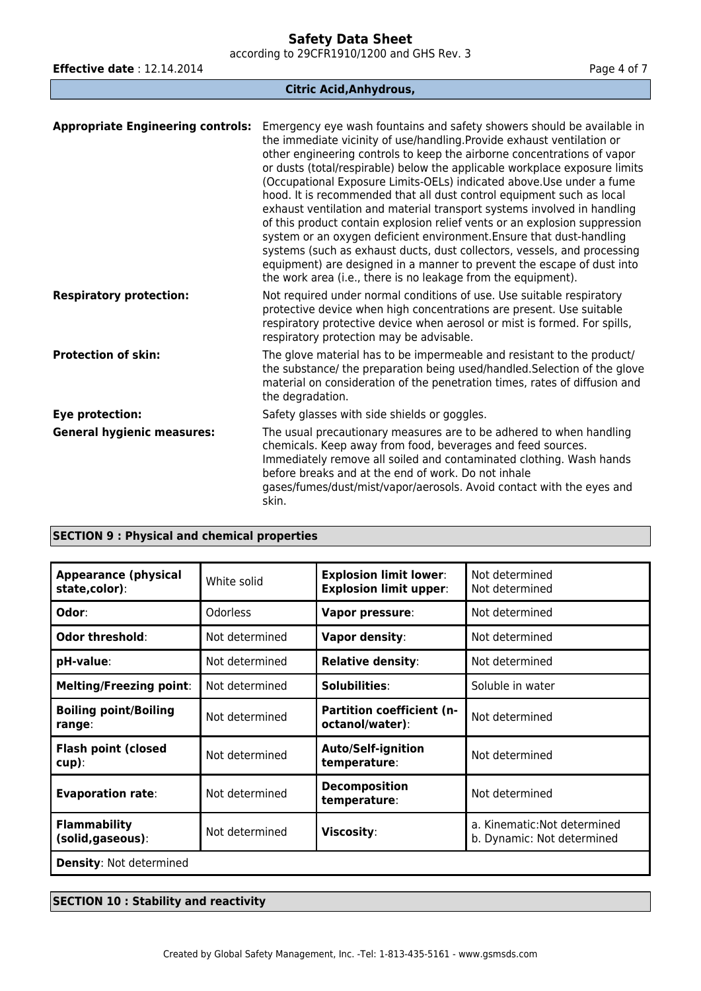according to 29CFR1910/1200 and GHS Rev. 3

**Effective date** : 12.14.2014 **Page 4 of 7 Page 4 of 7** 

**Citric Acid,Anhydrous,**

| <b>Appropriate Engineering controls:</b> | Emergency eye wash fountains and safety showers should be available in<br>the immediate vicinity of use/handling. Provide exhaust ventilation or<br>other engineering controls to keep the airborne concentrations of vapor<br>or dusts (total/respirable) below the applicable workplace exposure limits<br>(Occupational Exposure Limits-OELs) indicated above. Use under a fume<br>hood. It is recommended that all dust control equipment such as local<br>exhaust ventilation and material transport systems involved in handling<br>of this product contain explosion relief vents or an explosion suppression<br>system or an oxygen deficient environment. Ensure that dust-handling<br>systems (such as exhaust ducts, dust collectors, vessels, and processing<br>equipment) are designed in a manner to prevent the escape of dust into<br>the work area (i.e., there is no leakage from the equipment). |
|------------------------------------------|---------------------------------------------------------------------------------------------------------------------------------------------------------------------------------------------------------------------------------------------------------------------------------------------------------------------------------------------------------------------------------------------------------------------------------------------------------------------------------------------------------------------------------------------------------------------------------------------------------------------------------------------------------------------------------------------------------------------------------------------------------------------------------------------------------------------------------------------------------------------------------------------------------------------|
| <b>Respiratory protection:</b>           | Not required under normal conditions of use. Use suitable respiratory<br>protective device when high concentrations are present. Use suitable<br>respiratory protective device when aerosol or mist is formed. For spills,<br>respiratory protection may be advisable.                                                                                                                                                                                                                                                                                                                                                                                                                                                                                                                                                                                                                                              |
| <b>Protection of skin:</b>               | The glove material has to be impermeable and resistant to the product/<br>the substance/ the preparation being used/handled. Selection of the glove<br>material on consideration of the penetration times, rates of diffusion and<br>the degradation.                                                                                                                                                                                                                                                                                                                                                                                                                                                                                                                                                                                                                                                               |
| Eye protection:                          | Safety glasses with side shields or goggles.                                                                                                                                                                                                                                                                                                                                                                                                                                                                                                                                                                                                                                                                                                                                                                                                                                                                        |
| <b>General hygienic measures:</b>        | The usual precautionary measures are to be adhered to when handling<br>chemicals. Keep away from food, beverages and feed sources.<br>Immediately remove all soiled and contaminated clothing. Wash hands<br>before breaks and at the end of work. Do not inhale<br>gases/fumes/dust/mist/vapor/aerosols. Avoid contact with the eyes and<br>skin.                                                                                                                                                                                                                                                                                                                                                                                                                                                                                                                                                                  |

# **SECTION 9 : Physical and chemical properties**

| <b>Appearance (physical</b><br>state,color): | White solid    | <b>Explosion limit lower:</b><br><b>Explosion limit upper:</b> | Not determined<br>Not determined                           |
|----------------------------------------------|----------------|----------------------------------------------------------------|------------------------------------------------------------|
| Odor:                                        | Odorless       | Vapor pressure:                                                | Not determined                                             |
| Odor threshold:                              | Not determined | <b>Vapor density:</b>                                          | Not determined                                             |
| pH-value:                                    | Not determined | <b>Relative density:</b>                                       | Not determined                                             |
| <b>Melting/Freezing point:</b>               | Not determined | Solubilities:                                                  | Soluble in water                                           |
| <b>Boiling point/Boiling</b><br>range:       | Not determined | <b>Partition coefficient (n-</b><br>octanol/water):            | Not determined                                             |
| <b>Flash point (closed</b><br>$cup)$ :       | Not determined | <b>Auto/Self-ignition</b><br>temperature:                      | Not determined                                             |
| <b>Evaporation rate:</b>                     | Not determined | <b>Decomposition</b><br>temperature:                           | Not determined                                             |
| <b>Flammability</b><br>(solid, gaseous):     | Not determined | Viscosity:                                                     | a. Kinematic: Not determined<br>b. Dynamic: Not determined |
| <b>Density: Not determined</b>               |                |                                                                |                                                            |

# **SECTION 10 : Stability and reactivity**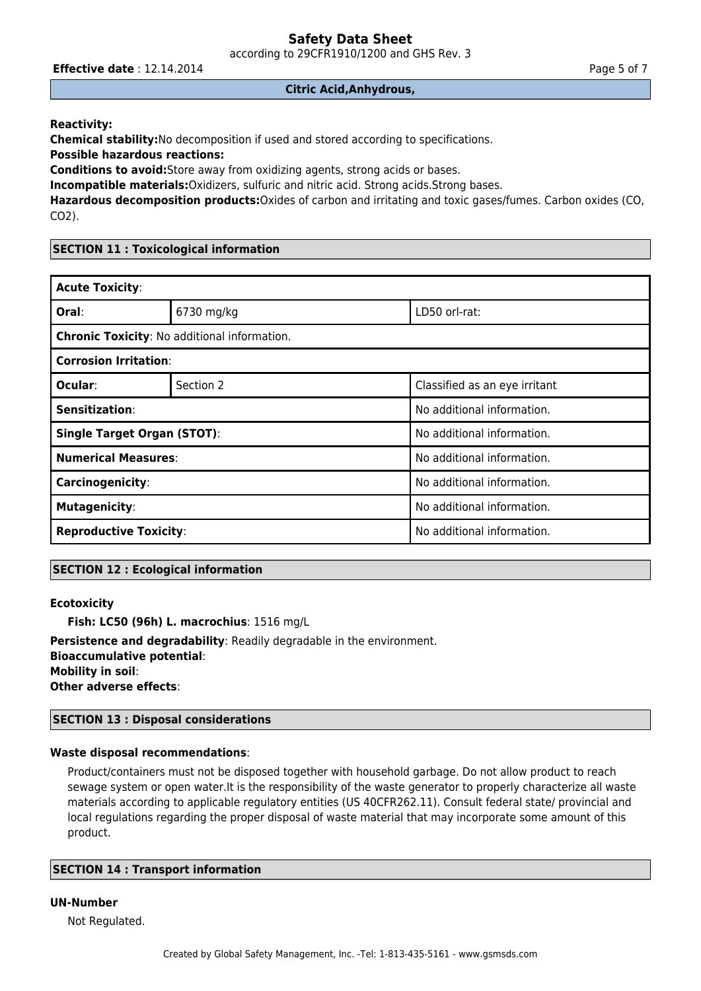according to 29CFR1910/1200 and GHS Rev. 3

**Effective date** : 12.14.2014 **Page 5 of 7 Page 5 of 7** 

### **Citric Acid,Anhydrous,**

**Reactivity:**

**Chemical stability:**No decomposition if used and stored according to specifications.

**Possible hazardous reactions:**

**Conditions to avoid:**Store away from oxidizing agents, strong acids or bases.

**Incompatible materials:**Oxidizers, sulfuric and nitric acid. Strong acids.Strong bases.

**Hazardous decomposition products:**Oxides of carbon and irritating and toxic gases/fumes. Carbon oxides (CO,  $CO<sub>2</sub>$ ).

# **SECTION 11 : Toxicological information**

| <b>Acute Toxicity:</b>                       |            |                               |  |  |
|----------------------------------------------|------------|-------------------------------|--|--|
| Oral:                                        | 6730 mg/kg | LD50 orl-rat:                 |  |  |
| Chronic Toxicity: No additional information. |            |                               |  |  |
| <b>Corrosion Irritation:</b>                 |            |                               |  |  |
| Ocular:                                      | Section 2  | Classified as an eye irritant |  |  |
| Sensitization:                               |            | No additional information.    |  |  |
| <b>Single Target Organ (STOT):</b>           |            | No additional information.    |  |  |
| <b>Numerical Measures:</b>                   |            | No additional information.    |  |  |
| Carcinogenicity:                             |            | No additional information.    |  |  |
| <b>Mutagenicity:</b>                         |            | No additional information.    |  |  |
| <b>Reproductive Toxicity:</b>                |            | No additional information.    |  |  |

# **SECTION 12 : Ecological information**

# **Ecotoxicity**

**Fish: LC50 (96h) L. macrochius**: 1516 mg/L

**Persistence and degradability**: Readily degradable in the environment. **Bioaccumulative potential**: **Mobility in soil**: **Other adverse effects**:

### **SECTION 13 : Disposal considerations**

# **Waste disposal recommendations**:

Product/containers must not be disposed together with household garbage. Do not allow product to reach sewage system or open water.It is the responsibility of the waste generator to properly characterize all waste materials according to applicable regulatory entities (US 40CFR262.11). Consult federal state/ provincial and local regulations regarding the proper disposal of waste material that may incorporate some amount of this product.

# **SECTION 14 : Transport information**

### **UN-Number**

Not Regulated.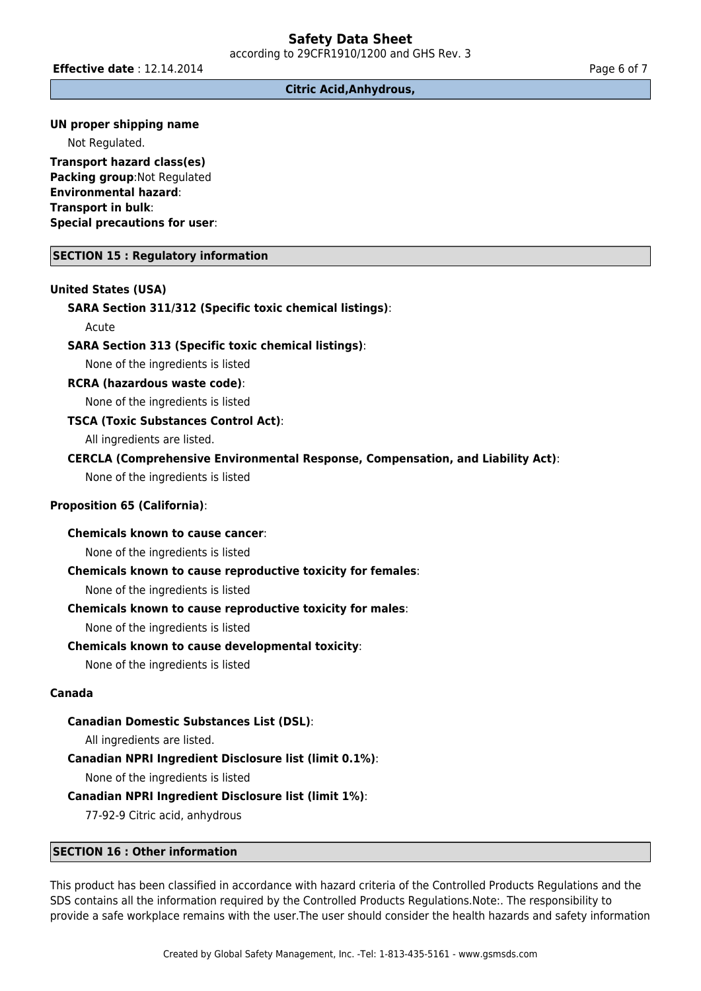**Effective date** : 12.14.2014 **Page 6 of 7 Page 6 of 7** 

**Citric Acid,Anhydrous,**

### **UN proper shipping name**

Not Regulated.

**Transport hazard class(es) Packing group:Not Regulated Environmental hazard**: **Transport in bulk**: **Special precautions for user**:

### **SECTION 15 : Regulatory information**

### **United States (USA)**

#### **SARA Section 311/312 (Specific toxic chemical listings)**:

Acute

### **SARA Section 313 (Specific toxic chemical listings)**:

None of the ingredients is listed

#### **RCRA (hazardous waste code)**:

None of the ingredients is listed

### **TSCA (Toxic Substances Control Act)**:

All ingredients are listed.

### **CERCLA (Comprehensive Environmental Response, Compensation, and Liability Act)**:

None of the ingredients is listed

### **Proposition 65 (California)**:

# **Chemicals known to cause cancer**:

None of the ingredients is listed

### **Chemicals known to cause reproductive toxicity for females**:

None of the ingredients is listed

### **Chemicals known to cause reproductive toxicity for males**:

None of the ingredients is listed

### **Chemicals known to cause developmental toxicity**:

None of the ingredients is listed

### **Canada**

### **Canadian Domestic Substances List (DSL)**:

All ingredients are listed.

### **Canadian NPRI Ingredient Disclosure list (limit 0.1%)**:

None of the ingredients is listed

### **Canadian NPRI Ingredient Disclosure list (limit 1%)**:

77-92-9 Citric acid, anhydrous

### **SECTION 16 : Other information**

This product has been classified in accordance with hazard criteria of the Controlled Products Regulations and the SDS contains all the information required by the Controlled Products Regulations.Note:. The responsibility to provide a safe workplace remains with the user.The user should consider the health hazards and safety information